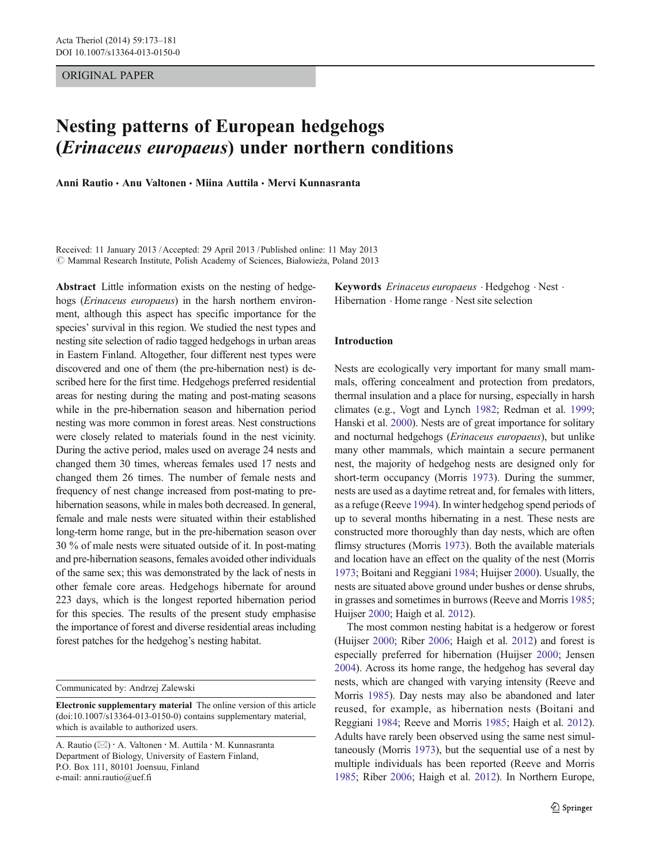## ORIGINAL PAPER

# Nesting patterns of European hedgehogs (Erinaceus europaeus) under northern conditions

Anni Rautio & Anu Valtonen & Miina Auttila & Mervi Kunnasranta

Received: 11 January 2013 /Accepted: 29 April 2013 / Published online: 11 May 2013  $\oslash$  Mammal Research Institute, Polish Academy of Sciences, Białowieża, Poland 2013

Abstract Little information exists on the nesting of hedgehogs (Erinaceus europaeus) in the harsh northern environment, although this aspect has specific importance for the species' survival in this region. We studied the nest types and nesting site selection of radio tagged hedgehogs in urban areas in Eastern Finland. Altogether, four different nest types were discovered and one of them (the pre-hibernation nest) is described here for the first time. Hedgehogs preferred residential areas for nesting during the mating and post-mating seasons while in the pre-hibernation season and hibernation period nesting was more common in forest areas. Nest constructions were closely related to materials found in the nest vicinity. During the active period, males used on average 24 nests and changed them 30 times, whereas females used 17 nests and changed them 26 times. The number of female nests and frequency of nest change increased from post-mating to prehibernation seasons, while in males both decreased. In general, female and male nests were situated within their established long-term home range, but in the pre-hibernation season over 30 % of male nests were situated outside of it. In post-mating and pre-hibernation seasons, females avoided other individuals of the same sex; this was demonstrated by the lack of nests in other female core areas. Hedgehogs hibernate for around 223 days, which is the longest reported hibernation period for this species. The results of the present study emphasise the importance of forest and diverse residential areas including forest patches for the hedgehog's nesting habitat.

Communicated by: Andrzej Zalewski

Keywords Erinaceus europaeus . Hedgehog . Nest . Hibernation  $\cdot$  Home range  $\cdot$  Nest site selection

## Introduction

Nests are ecologically very important for many small mammals, offering concealment and protection from predators, thermal insulation and a place for nursing, especially in harsh climates (e.g., Vogt and Lynch [1982](#page-8-0); Redman et al. [1999;](#page-8-0) Hanski et al. [2000](#page-8-0)). Nests are of great importance for solitary and nocturnal hedgehogs (Erinaceus europaeus), but unlike many other mammals, which maintain a secure permanent nest, the majority of hedgehog nests are designed only for short-term occupancy (Morris [1973\)](#page-8-0). During the summer, nests are used as a daytime retreat and, for females with litters, as a refuge (Reeve [1994\)](#page-8-0). In winter hedgehog spend periods of up to several months hibernating in a nest. These nests are constructed more thoroughly than day nests, which are often flimsy structures (Morris [1973\)](#page-8-0). Both the available materials and location have an effect on the quality of the nest (Morris [1973;](#page-8-0) Boitani and Reggiani [1984;](#page-8-0) Huijser [2000](#page-8-0)). Usually, the nests are situated above ground under bushes or dense shrubs, in grasses and sometimes in burrows (Reeve and Morris [1985;](#page-8-0) Huijser [2000;](#page-8-0) Haigh et al. [2012\)](#page-8-0).

The most common nesting habitat is a hedgerow or forest (Huijser [2000;](#page-8-0) Riber [2006;](#page-8-0) Haigh et al. [2012](#page-8-0)) and forest is especially preferred for hibernation (Huijser [2000;](#page-8-0) Jensen [2004\)](#page-8-0). Across its home range, the hedgehog has several day nests, which are changed with varying intensity (Reeve and Morris [1985](#page-8-0)). Day nests may also be abandoned and later reused, for example, as hibernation nests (Boitani and Reggiani [1984;](#page-8-0) Reeve and Morris [1985;](#page-8-0) Haigh et al. [2012\)](#page-8-0). Adults have rarely been observed using the same nest simultaneously (Morris [1973\)](#page-8-0), but the sequential use of a nest by multiple individuals has been reported (Reeve and Morris [1985;](#page-8-0) Riber [2006;](#page-8-0) Haigh et al. [2012\)](#page-8-0). In Northern Europe,

Electronic supplementary material The online version of this article (doi:[10.1007/s13364-013-0150-0](http://dx.doi.org/10.1007/s13364-013-0150-0)) contains supplementary material, which is available to authorized users.

A. Rautio (\*) : A. Valtonen : M. Auttila : M. Kunnasranta Department of Biology, University of Eastern Finland, P.O. Box 111, 80101 Joensuu, Finland e-mail: anni.rautio@uef.fi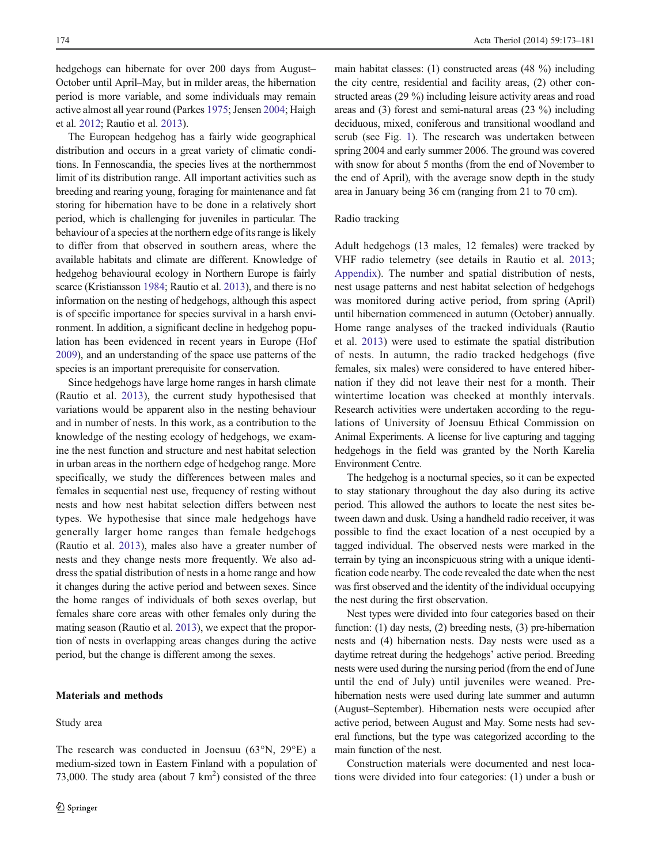hedgehogs can hibernate for over 200 days from August– October until April–May, but in milder areas, the hibernation period is more variable, and some individuals may remain active almost all year round (Parkes [1975;](#page-8-0) Jensen [2004;](#page-8-0) Haigh et al. [2012](#page-8-0); Rautio et al. [2013](#page-8-0)).

The European hedgehog has a fairly wide geographical distribution and occurs in a great variety of climatic conditions. In Fennoscandia, the species lives at the northernmost limit of its distribution range. All important activities such as breeding and rearing young, foraging for maintenance and fat storing for hibernation have to be done in a relatively short period, which is challenging for juveniles in particular. The behaviour of a species at the northern edge of its range is likely to differ from that observed in southern areas, where the available habitats and climate are different. Knowledge of hedgehog behavioural ecology in Northern Europe is fairly scarce (Kristiansson [1984;](#page-8-0) Rautio et al. [2013\)](#page-8-0), and there is no information on the nesting of hedgehogs, although this aspect is of specific importance for species survival in a harsh environment. In addition, a significant decline in hedgehog population has been evidenced in recent years in Europe (Hof [2009\)](#page-8-0), and an understanding of the space use patterns of the species is an important prerequisite for conservation.

Since hedgehogs have large home ranges in harsh climate (Rautio et al. [2013](#page-8-0)), the current study hypothesised that variations would be apparent also in the nesting behaviour and in number of nests. In this work, as a contribution to the knowledge of the nesting ecology of hedgehogs, we examine the nest function and structure and nest habitat selection in urban areas in the northern edge of hedgehog range. More specifically, we study the differences between males and females in sequential nest use, frequency of resting without nests and how nest habitat selection differs between nest types. We hypothesise that since male hedgehogs have generally larger home ranges than female hedgehogs (Rautio et al. [2013\)](#page-8-0), males also have a greater number of nests and they change nests more frequently. We also address the spatial distribution of nests in a home range and how it changes during the active period and between sexes. Since the home ranges of individuals of both sexes overlap, but females share core areas with other females only during the mating season (Rautio et al. [2013](#page-8-0)), we expect that the proportion of nests in overlapping areas changes during the active period, but the change is different among the sexes.

The research was conducted in Joensuu (63°N, 29°E) a medium-sized town in Eastern Finland with a population of 73,000. The study area (about  $7 \text{ km}^2$ ) consisted of the three

## Materials and methods

## Study area

main habitat classes: (1) constructed areas (48 %) including the city centre, residential and facility areas, (2) other constructed areas (29 %) including leisure activity areas and road areas and (3) forest and semi-natural areas (23 %) including deciduous, mixed, coniferous and transitional woodland and scrub (see Fig. [1\)](#page-2-0). The research was undertaken between spring 2004 and early summer 2006. The ground was covered with snow for about 5 months (from the end of November to the end of April), with the average snow depth in the study area in January being 36 cm (ranging from 21 to 70 cm).

## Radio tracking

Adult hedgehogs (13 males, 12 females) were tracked by VHF radio telemetry (see details in Rautio et al. [2013;](#page-8-0) Appendix). The number and spatial distribution of nests, nest usage patterns and nest habitat selection of hedgehogs was monitored during active period, from spring (April) until hibernation commenced in autumn (October) annually. Home range analyses of the tracked individuals (Rautio et al. [2013](#page-8-0)) were used to estimate the spatial distribution of nests. In autumn, the radio tracked hedgehogs (five females, six males) were considered to have entered hibernation if they did not leave their nest for a month. Their wintertime location was checked at monthly intervals. Research activities were undertaken according to the regulations of University of Joensuu Ethical Commission on Animal Experiments. A license for live capturing and tagging hedgehogs in the field was granted by the North Karelia Environment Centre.

The hedgehog is a nocturnal species, so it can be expected to stay stationary throughout the day also during its active period. This allowed the authors to locate the nest sites between dawn and dusk. Using a handheld radio receiver, it was possible to find the exact location of a nest occupied by a tagged individual. The observed nests were marked in the terrain by tying an inconspicuous string with a unique identification code nearby. The code revealed the date when the nest was first observed and the identity of the individual occupying the nest during the first observation.

Nest types were divided into four categories based on their function: (1) day nests, (2) breeding nests, (3) pre-hibernation nests and (4) hibernation nests. Day nests were used as a daytime retreat during the hedgehogs' active period. Breeding nests were used during the nursing period (from the end of June until the end of July) until juveniles were weaned. Prehibernation nests were used during late summer and autumn (August–September). Hibernation nests were occupied after active period, between August and May. Some nests had several functions, but the type was categorized according to the main function of the nest.

Construction materials were documented and nest locations were divided into four categories: (1) under a bush or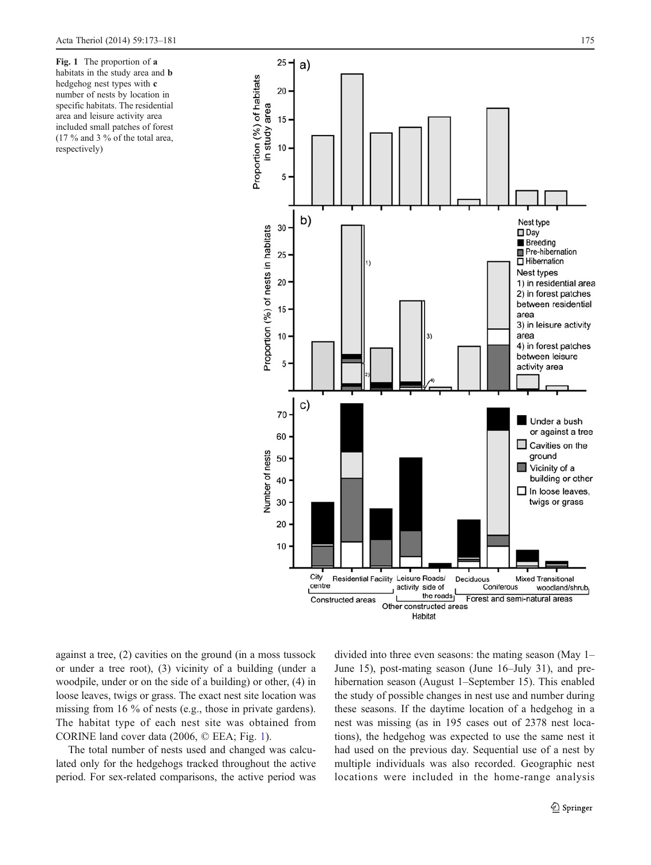<span id="page-2-0"></span>Fig. 1 The proportion of a habitats in the study area and b hedgehog nest types with c number of nests by location in specific habitats. The residential area and leisure activity area included small patches of forest (17 % and 3 % of the total area, respectively)



against a tree, (2) cavities on the ground (in a moss tussock or under a tree root), (3) vicinity of a building (under a woodpile, under or on the side of a building) or other, (4) in loose leaves, twigs or grass. The exact nest site location was missing from 16 % of nests (e.g., those in private gardens). The habitat type of each nest site was obtained from CORINE land cover data (2006, © EEA; Fig. 1).

The total number of nests used and changed was calculated only for the hedgehogs tracked throughout the active period. For sex-related comparisons, the active period was divided into three even seasons: the mating season (May 1– June 15), post-mating season (June 16–July 31), and prehibernation season (August 1–September 15). This enabled the study of possible changes in nest use and number during these seasons. If the daytime location of a hedgehog in a nest was missing (as in 195 cases out of 2378 nest locations), the hedgehog was expected to use the same nest it had used on the previous day. Sequential use of a nest by multiple individuals was also recorded. Geographic nest locations were included in the home-range analysis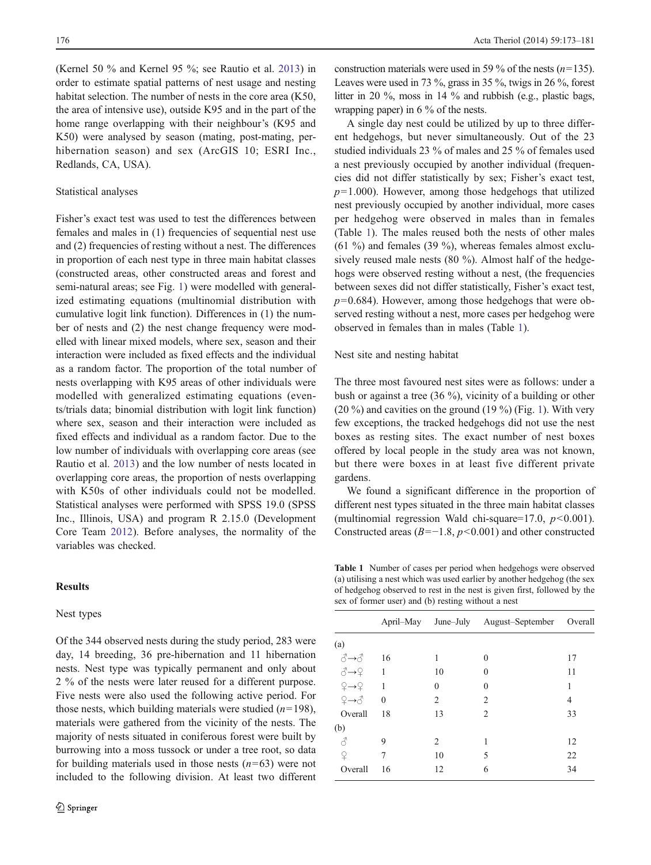(Kernel 50 % and Kernel 95 %; see Rautio et al. [2013\)](#page-8-0) in order to estimate spatial patterns of nest usage and nesting habitat selection. The number of nests in the core area (K50, the area of intensive use), outside K95 and in the part of the home range overlapping with their neighbour's (K95 and K50) were analysed by season (mating, post-mating, perhibernation season) and sex (ArcGIS 10; ESRI Inc., Redlands, CA, USA).

#### Statistical analyses

Fisher's exact test was used to test the differences between females and males in (1) frequencies of sequential nest use and (2) frequencies of resting without a nest. The differences in proportion of each nest type in three main habitat classes (constructed areas, other constructed areas and forest and semi-natural areas; see Fig. [1](#page-2-0)) were modelled with generalized estimating equations (multinomial distribution with cumulative logit link function). Differences in (1) the number of nests and (2) the nest change frequency were modelled with linear mixed models, where sex, season and their interaction were included as fixed effects and the individual as a random factor. The proportion of the total number of nests overlapping with K95 areas of other individuals were modelled with generalized estimating equations (events/trials data; binomial distribution with logit link function) where sex, season and their interaction were included as fixed effects and individual as a random factor. Due to the low number of individuals with overlapping core areas (see Rautio et al. [2013\)](#page-8-0) and the low number of nests located in overlapping core areas, the proportion of nests overlapping with K50s of other individuals could not be modelled. Statistical analyses were performed with SPSS 19.0 (SPSS Inc., Illinois, USA) and program R 2.15.0 (Development Core Team [2012\)](#page-8-0). Before analyses, the normality of the variables was checked.

# Results

## Nest types

Of the 344 observed nests during the study period, 283 were day, 14 breeding, 36 pre-hibernation and 11 hibernation nests. Nest type was typically permanent and only about 2 % of the nests were later reused for a different purpose. Five nests were also used the following active period. For those nests, which building materials were studied  $(n=198)$ , materials were gathered from the vicinity of the nests. The majority of nests situated in coniferous forest were built by burrowing into a moss tussock or under a tree root, so data for building materials used in those nests  $(n=63)$  were not included to the following division. At least two different

construction materials were used in 59 % of the nests  $(n=135)$ . Leaves were used in 73 %, grass in 35 %, twigs in 26 %, forest litter in 20 %, moss in 14 % and rubbish (e.g., plastic bags, wrapping paper) in 6 % of the nests.

A single day nest could be utilized by up to three different hedgehogs, but never simultaneously. Out of the 23 studied individuals 23 % of males and 25 % of females used a nest previously occupied by another individual (frequencies did not differ statistically by sex; Fisher's exact test,  $p=1.000$ ). However, among those hedgehogs that utilized nest previously occupied by another individual, more cases per hedgehog were observed in males than in females (Table 1). The males reused both the nests of other males  $(61 \%)$  and females  $(39 \%)$ , whereas females almost exclusively reused male nests (80 %). Almost half of the hedgehogs were observed resting without a nest, (the frequencies between sexes did not differ statistically, Fisher's exact test,  $p=0.684$ ). However, among those hedgehogs that were observed resting without a nest, more cases per hedgehog were observed in females than in males (Table 1).

#### Nest site and nesting habitat

The three most favoured nest sites were as follows: under a bush or against a tree (36 %), vicinity of a building or other (20 %) and cavities on the ground (19 %) (Fig. [1\)](#page-2-0). With very few exceptions, the tracked hedgehogs did not use the nest boxes as resting sites. The exact number of nest boxes offered by local people in the study area was not known, but there were boxes in at least five different private gardens.

We found a significant difference in the proportion of different nest types situated in the three main habitat classes (multinomial regression Wald chi-square=17.0,  $p < 0.001$ ). Constructed areas ( $B=-1.8$ ,  $p<0.001$ ) and other constructed

Table 1 Number of cases per period when hedgehogs were observed (a) utilising a nest which was used earlier by another hedgehog (the sex of hedgehog observed to rest in the nest is given first, followed by the sex of former user) and (b) resting without a nest

|                   |              |          | April–May June–July August–September Overall |    |
|-------------------|--------------|----------|----------------------------------------------|----|
| (a)               |              |          |                                              |    |
| 8→8               | 16           | 1        | $\Omega$                                     | 17 |
| $3\rightarrow 9$  | 1            | 10       | $\Omega$                                     | 11 |
| $2 \rightarrow 2$ | 1            | $\theta$ | $\Omega$                                     | 1  |
| $2 \rightarrow 3$ | $\mathbf{0}$ | 2        | 2                                            | 4  |
| Overall           | 18           | 13       | $\overline{c}$                               | 33 |
| (b)               |              |          |                                              |    |
| 3                 | 9            | 2        | 1                                            | 12 |
| $\Omega$          | 7            | 10       | 5                                            | 22 |
| Overall           | 16           | 12       | 6                                            | 34 |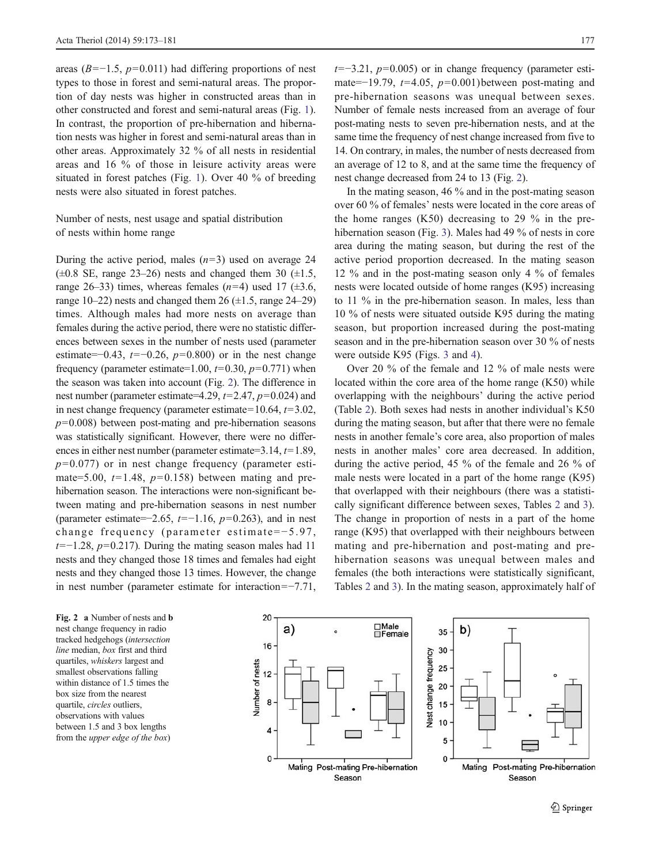areas ( $B=-1.5$ ,  $p=0.011$ ) had differing proportions of nest types to those in forest and semi-natural areas. The proportion of day nests was higher in constructed areas than in other constructed and forest and semi-natural areas (Fig. [1](#page-2-0)). In contrast, the proportion of pre-hibernation and hibernation nests was higher in forest and semi-natural areas than in other areas. Approximately 32 % of all nests in residential areas and 16 % of those in leisure activity areas were situated in forest patches (Fig. [1\)](#page-2-0). Over 40 % of breeding nests were also situated in forest patches.

Number of nests, nest usage and spatial distribution of nests within home range

During the active period, males  $(n=3)$  used on average 24  $(\pm 0.8 \text{ SE}, \text{range } 23-26)$  nests and changed them 30  $(\pm 1.5, \text{S})$ range 26–33) times, whereas females  $(n=4)$  used 17 ( $\pm$ 3.6, range 10–22) nests and changed them 26  $(\pm 1.5, \text{range } 24$ –29) times. Although males had more nests on average than females during the active period, there were no statistic differences between sexes in the number of nests used (parameter estimate=−0.43,  $t=-0.26$ ,  $p=0.800$  or in the nest change frequency (parameter estimate=1.00,  $t=0.30$ ,  $p=0.771$ ) when the season was taken into account (Fig. 2). The difference in nest number (parameter estimate=4.29,  $t=2.47$ ,  $p=0.024$ ) and in nest change frequency (parameter estimate= $10.64$ ,  $t=3.02$ ,  $p=0.008$ ) between post-mating and pre-hibernation seasons was statistically significant. However, there were no differences in either nest number (parameter estimate=3.14,  $t=1.89$ ,  $p=0.077$ ) or in nest change frequency (parameter estimate=5.00,  $t=1.48$ ,  $p=0.158$ ) between mating and prehibernation season. The interactions were non-significant between mating and pre-hibernation seasons in nest number (parameter estimate=−2.65,  $t=-1.16$ ,  $p=0.263$ ), and in nest change frequency (parameter estimate=−5.97,  $t=-1.28$ ,  $p=0.217$ ). During the mating season males had 11 nests and they changed those 18 times and females had eight nests and they changed those 13 times. However, the change in nest number (parameter estimate for interaction=−7.71,

 $t=-3.21$ ,  $p=0.005$ ) or in change frequency (parameter estimate=−19.79,  $t=4.05$ ,  $p=0.001$ ) between post-mating and pre-hibernation seasons was unequal between sexes. Number of female nests increased from an average of four post-mating nests to seven pre-hibernation nests, and at the same time the frequency of nest change increased from five to 14. On contrary, in males, the number of nests decreased from an average of 12 to 8, and at the same time the frequency of nest change decreased from 24 to 13 (Fig. 2).

In the mating season, 46 % and in the post-mating season over 60 % of females' nests were located in the core areas of the home ranges  $(K50)$  decreasing to 29 % in the pre-hibernation season (Fig. [3](#page-5-0)). Males had 49 % of nests in core area during the mating season, but during the rest of the active period proportion decreased. In the mating season 12 % and in the post-mating season only 4 % of females nests were located outside of home ranges (K95) increasing to 11 % in the pre-hibernation season. In males, less than 10 % of nests were situated outside K95 during the mating season, but proportion increased during the post-mating season and in the pre-hibernation season over 30 % of nests were outside K95 (Figs. [3](#page-5-0) and [4](#page-5-0)).

Over 20 % of the female and 12 % of male nests were located within the core area of the home range (K50) while overlapping with the neighbours' during the active period (Table [2](#page-6-0)). Both sexes had nests in another individual's K50 during the mating season, but after that there were no female nests in another female's core area, also proportion of males nests in another males' core area decreased. In addition, during the active period, 45 % of the female and 26 % of male nests were located in a part of the home range (K95) that overlapped with their neighbours (there was a statistically significant difference between sexes, Tables [2](#page-6-0) and [3\)](#page-6-0). The change in proportion of nests in a part of the home range (K95) that overlapped with their neighbours between mating and pre-hibernation and post-mating and prehibernation seasons was unequal between males and females (the both interactions were statistically significant, Tables [2](#page-6-0) and [3\)](#page-6-0). In the mating season, approximately half of

Fig. 2 a Number of nests and b nest change frequency in radio tracked hedgehogs (intersection line median, box first and third quartiles, whiskers largest and smallest observations falling within distance of 1.5 times the box size from the nearest quartile, circles outliers, observations with values between 1.5 and 3 box lengths from the upper edge of the box)

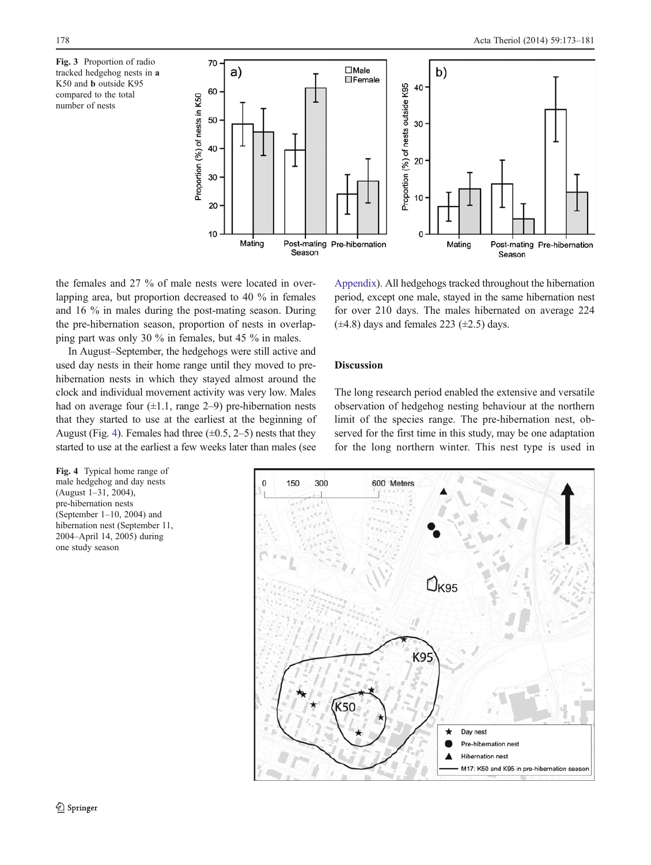<span id="page-5-0"></span>Fig. 3 Proportion of radio tracked hedgehog nests in a K50 and b outside K95 compared to the total number of nests



the females and 27 % of male nests were located in overlapping area, but proportion decreased to 40 % in females and 16 % in males during the post-mating season. During the pre-hibernation season, proportion of nests in overlapping part was only 30 % in females, but 45 % in males.

In August–September, the hedgehogs were still active and used day nests in their home range until they moved to prehibernation nests in which they stayed almost around the clock and individual movement activity was very low. Males had on average four  $(\pm 1.1, \text{ range } 2-9)$  pre-hibernation nests that they started to use at the earliest at the beginning of August (Fig. 4). Females had three  $(\pm 0.5, 2-5)$  nests that they started to use at the earliest a few weeks later than males (see

Appendix). All hedgehogs tracked throughout the hibernation period, except one male, stayed in the same hibernation nest for over 210 days. The males hibernated on average 224  $(\pm 4.8)$  days and females 223  $(\pm 2.5)$  days.

# Discussion

The long research period enabled the extensive and versatile observation of hedgehog nesting behaviour at the northern limit of the species range. The pre-hibernation nest, observed for the first time in this study, may be one adaptation for the long northern winter. This nest type is used in

Fig. 4 Typical home range of male hedgehog and day nests (August 1–31, 2004), pre-hibernation nests (September 1–10, 2004) and hibernation nest (September 11, 2004–April 14, 2005) during one study season

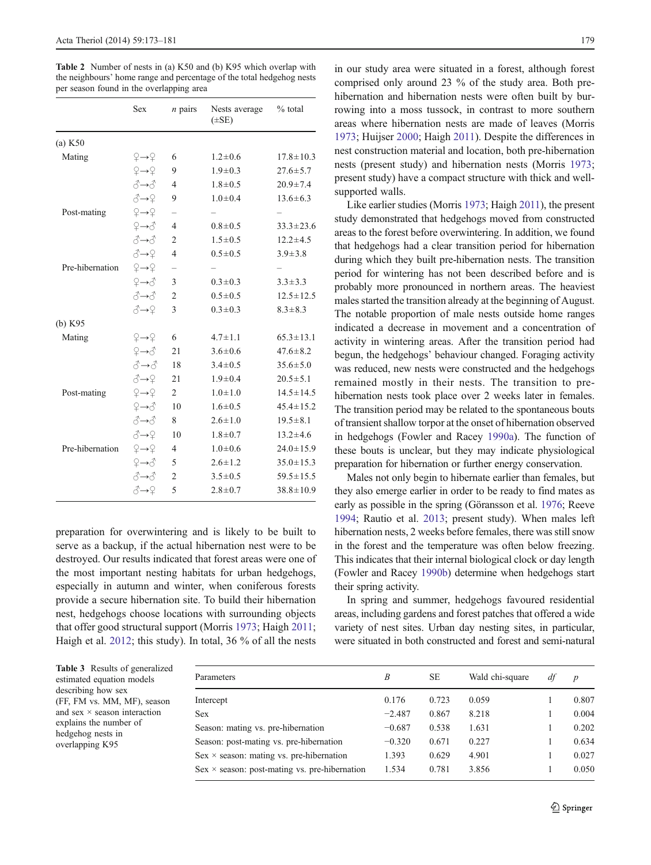<span id="page-6-0"></span>Table 2 Number of nests in (a) K50 and (b) K95 which overlap with the neighbours' home range and percentage of the total hedgehog nests per season found in the overlapping area

|                 | Sex                                   | $n$ pairs      | Nests average<br>$(\pm SE)$ | $%$ total       |
|-----------------|---------------------------------------|----------------|-----------------------------|-----------------|
| $(a)$ K50       |                                       |                |                             |                 |
| Mating          | ⊊←♀                                   | 6              | $1.2 \pm 0.6$               | $17.8 \pm 10.3$ |
|                 | $\mathcal{Q} \rightarrow \mathcal{Q}$ | 9              | $1.9 \pm 0.3$               | $27.6 \pm 5.7$  |
|                 | 3→3                                   | $\overline{4}$ | $1.8 + 0.5$                 | $20.9 \pm 7.4$  |
|                 | 8→9                                   | 9              | $1.0 + 0.4$                 | $13.6 \pm 6.3$  |
| Post-mating     | $Q \rightarrow Q$                     | $\equiv$       |                             |                 |
|                 | $2 \rightarrow 3$                     | $\overline{4}$ | $0.8 + 0.5$                 | $33.3 \pm 23.6$ |
|                 | 3→3                                   | $\overline{2}$ | $1.5 \pm 0.5$               | $12.2 \pm 4.5$  |
|                 | ♂→♀                                   | $\overline{4}$ | $0.5 \pm 0.5$               | $3.9 \pm 3.8$   |
| Pre-hibernation | $9 \rightarrow 9$                     | -              |                             |                 |
|                 | ₽→♂                                   | 3              | $0.3 \pm 0.3$               | $3.3 \pm 3.3$   |
|                 | 3→3                                   | $\overline{2}$ | $0.5 \pm 0.5$               | $12.5 \pm 12.5$ |
|                 | ♂→♀                                   | 3              | $0.3 \pm 0.3$               | $8.3 \pm 8.3$   |
| $(b)$ K $95$    |                                       |                |                             |                 |
| Mating          | $9 \rightarrow 9$                     | 6              | $4.7 \pm 1.1$               | $65.3 \pm 13.1$ |
|                 | ₽→♂                                   | 21             | $3.6 \pm 0.6$               | $47.6 \pm 8.2$  |
|                 | 8→8                                   | 18             | $3.4 \pm 0.5$               | $35.6 \pm 5.0$  |
|                 | 8→♀                                   | 21             | $1.9 \pm 0.4$               | $20.5 \pm 5.1$  |
| Post-mating     | $2 \rightarrow 2$                     | $\overline{2}$ | $1.0 \pm 1.0$               | $14.5 \pm 14.5$ |
|                 | ₽→♂                                   | 10             | $1.6 \pm 0.5$               | $45.4 \pm 15.2$ |
|                 | 3→3                                   | 8              | $2.6 \pm 1.0$               | $19.5 \pm 8.1$  |
|                 | ♂→♀                                   | 10             | $1.8 \pm 0.7$               | $13.2 \pm 4.6$  |
| Pre-hibernation | $9 \rightarrow 9$                     | 4              | $1.0 \pm 0.6$               | $24.0 \pm 15.9$ |
|                 | ♀→♂                                   | 5              | $2.6 \pm 1.2$               | $35.0 \pm 15.3$ |
|                 | 3→3                                   | $\mathfrak{2}$ | $3.5 \pm 0.5$               | $59.5 \pm 15.5$ |
|                 | 8→♀                                   | 5              | $2.8 \pm 0.7$               | $38.8 \pm 10.9$ |

preparation for overwintering and is likely to be built to serve as a backup, if the actual hibernation nest were to be destroyed. Our results indicated that forest areas were one of the most important nesting habitats for urban hedgehogs, especially in autumn and winter, when coniferous forests provide a secure hibernation site. To build their hibernation nest, hedgehogs choose locations with surrounding objects that offer good structural support (Morris [1973](#page-8-0); Haigh [2011](#page-8-0); Haigh et al. [2012](#page-8-0); this study). In total, 36 % of all the nests

Table 3 Results of generalized estimated equation models describing how sex (FF, FM vs. MM, MF), season and sex × season interaction explains the number of hedgehog nests in overlapping K95

in our study area were situated in a forest, although forest comprised only around 23 % of the study area. Both prehibernation and hibernation nests were often built by burrowing into a moss tussock, in contrast to more southern areas where hibernation nests are made of leaves (Morris [1973](#page-8-0); Huijser [2000;](#page-8-0) Haigh [2011\)](#page-8-0). Despite the differences in nest construction material and location, both pre-hibernation nests (present study) and hibernation nests (Morris [1973;](#page-8-0) present study) have a compact structure with thick and wellsupported walls.

Like earlier studies (Morris [1973](#page-8-0); Haigh [2011](#page-8-0)), the present study demonstrated that hedgehogs moved from constructed areas to the forest before overwintering. In addition, we found that hedgehogs had a clear transition period for hibernation during which they built pre-hibernation nests. The transition period for wintering has not been described before and is probably more pronounced in northern areas. The heaviest males started the transition already at the beginning of August. The notable proportion of male nests outside home ranges indicated a decrease in movement and a concentration of activity in wintering areas. After the transition period had begun, the hedgehogs' behaviour changed. Foraging activity was reduced, new nests were constructed and the hedgehogs remained mostly in their nests. The transition to prehibernation nests took place over 2 weeks later in females. The transition period may be related to the spontaneous bouts of transient shallow torpor at the onset of hibernation observed in hedgehogs (Fowler and Racey [1990a](#page-8-0)). The function of these bouts is unclear, but they may indicate physiological preparation for hibernation or further energy conservation.

Males not only begin to hibernate earlier than females, but they also emerge earlier in order to be ready to find mates as early as possible in the spring (Göransson et al. [1976](#page-8-0); Reeve [1994;](#page-8-0) Rautio et al. [2013](#page-8-0); present study). When males left hibernation nests, 2 weeks before females, there was still snow in the forest and the temperature was often below freezing. This indicates that their internal biological clock or day length (Fowler and Racey [1990b\)](#page-8-0) determine when hedgehogs start their spring activity.

In spring and summer, hedgehogs favoured residential areas, including gardens and forest patches that offered a wide variety of nest sites. Urban day nesting sites, in particular, were situated in both constructed and forest and semi-natural

| Parameters                                           | B        | SЕ    | Wald chi-square | dt | $\boldsymbol{p}$ |
|------------------------------------------------------|----------|-------|-----------------|----|------------------|
| Intercept                                            | 0.176    | 0.723 | 0.059           |    | 0.807            |
| <b>Sex</b>                                           | $-2.487$ | 0.867 | 8.218           |    | 0.004            |
| Season: mating vs. pre-hibernation                   | $-0.687$ | 0.538 | 1.631           |    | 0.202            |
| Season: post-mating vs. pre-hibernation              | $-0.320$ | 0.671 | 0.227           |    | 0.634            |
| Sex $\times$ season: mating vs. pre-hibernation      | 1.393    | 0.629 | 4.901           |    | 0.027            |
| Sex $\times$ season: post-mating vs. pre-hibernation | 1.534    | 0.781 | 3.856           |    | 0.050            |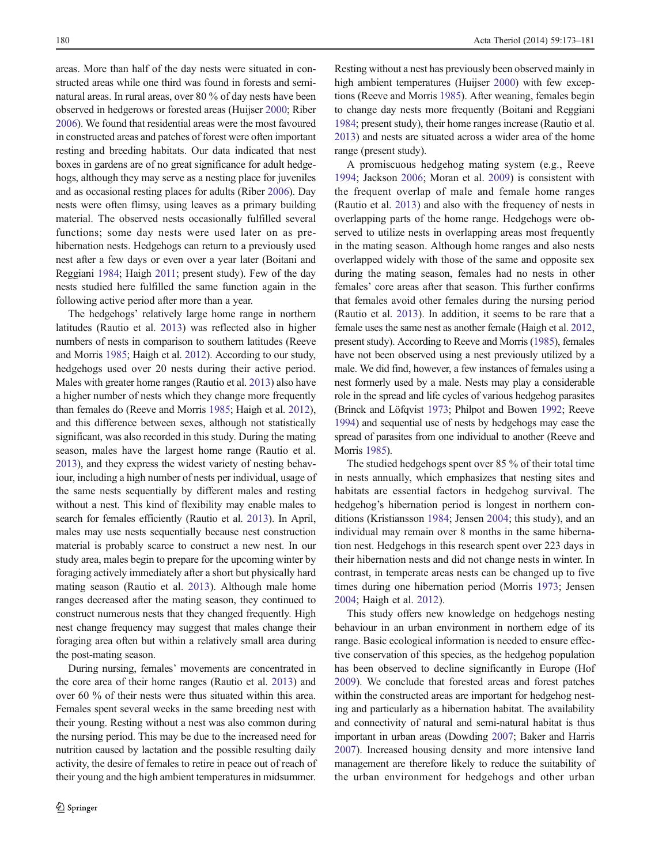areas. More than half of the day nests were situated in constructed areas while one third was found in forests and seminatural areas. In rural areas, over 80 % of day nests have been observed in hedgerows or forested areas (Huijser [2000](#page-8-0); Riber [2006\)](#page-8-0). We found that residential areas were the most favoured in constructed areas and patches of forest were often important resting and breeding habitats. Our data indicated that nest boxes in gardens are of no great significance for adult hedgehogs, although they may serve as a nesting place for juveniles and as occasional resting places for adults (Riber [2006](#page-8-0)). Day nests were often flimsy, using leaves as a primary building material. The observed nests occasionally fulfilled several functions; some day nests were used later on as prehibernation nests. Hedgehogs can return to a previously used nest after a few days or even over a year later (Boitani and Reggiani [1984;](#page-8-0) Haigh [2011](#page-8-0); present study). Few of the day nests studied here fulfilled the same function again in the following active period after more than a year.

The hedgehogs' relatively large home range in northern latitudes (Rautio et al. [2013\)](#page-8-0) was reflected also in higher numbers of nests in comparison to southern latitudes (Reeve and Morris [1985](#page-8-0); Haigh et al. [2012\)](#page-8-0). According to our study, hedgehogs used over 20 nests during their active period. Males with greater home ranges (Rautio et al. [2013\)](#page-8-0) also have a higher number of nests which they change more frequently than females do (Reeve and Morris [1985;](#page-8-0) Haigh et al. [2012\)](#page-8-0), and this difference between sexes, although not statistically significant, was also recorded in this study. During the mating season, males have the largest home range (Rautio et al. [2013\)](#page-8-0), and they express the widest variety of nesting behaviour, including a high number of nests per individual, usage of the same nests sequentially by different males and resting without a nest. This kind of flexibility may enable males to search for females efficiently (Rautio et al. [2013\)](#page-8-0). In April, males may use nests sequentially because nest construction material is probably scarce to construct a new nest. In our study area, males begin to prepare for the upcoming winter by foraging actively immediately after a short but physically hard mating season (Rautio et al. [2013](#page-8-0)). Although male home ranges decreased after the mating season, they continued to construct numerous nests that they changed frequently. High nest change frequency may suggest that males change their foraging area often but within a relatively small area during the post-mating season.

During nursing, females' movements are concentrated in the core area of their home ranges (Rautio et al. [2013](#page-8-0)) and over 60 % of their nests were thus situated within this area. Females spent several weeks in the same breeding nest with their young. Resting without a nest was also common during the nursing period. This may be due to the increased need for nutrition caused by lactation and the possible resulting daily activity, the desire of females to retire in peace out of reach of their young and the high ambient temperatures in midsummer.

Resting without a nest has previously been observed mainly in high ambient temperatures (Huijser [2000](#page-8-0)) with few exceptions (Reeve and Morris [1985\)](#page-8-0). After weaning, females begin to change day nests more frequently (Boitani and Reggiani [1984;](#page-8-0) present study), their home ranges increase (Rautio et al. [2013\)](#page-8-0) and nests are situated across a wider area of the home range (present study).

A promiscuous hedgehog mating system (e.g., Reeve [1994](#page-8-0); Jackson [2006](#page-8-0); Moran et al. [2009\)](#page-8-0) is consistent with the frequent overlap of male and female home ranges (Rautio et al. [2013\)](#page-8-0) and also with the frequency of nests in overlapping parts of the home range. Hedgehogs were observed to utilize nests in overlapping areas most frequently in the mating season. Although home ranges and also nests overlapped widely with those of the same and opposite sex during the mating season, females had no nests in other females' core areas after that season. This further confirms that females avoid other females during the nursing period (Rautio et al. [2013\)](#page-8-0). In addition, it seems to be rare that a female uses the same nest as another female (Haigh et al. [2012,](#page-8-0) present study). According to Reeve and Morris [\(1985](#page-8-0)), females have not been observed using a nest previously utilized by a male. We did find, however, a few instances of females using a nest formerly used by a male. Nests may play a considerable role in the spread and life cycles of various hedgehog parasites (Brinck and Löfqvist [1973](#page-8-0); Philpot and Bowen [1992](#page-8-0); Reeve [1994](#page-8-0)) and sequential use of nests by hedgehogs may ease the spread of parasites from one individual to another (Reeve and Morris [1985\)](#page-8-0).

The studied hedgehogs spent over 85 % of their total time in nests annually, which emphasizes that nesting sites and habitats are essential factors in hedgehog survival. The hedgehog's hibernation period is longest in northern conditions (Kristiansson [1984](#page-8-0); Jensen [2004;](#page-8-0) this study), and an individual may remain over 8 months in the same hibernation nest. Hedgehogs in this research spent over 223 days in their hibernation nests and did not change nests in winter. In contrast, in temperate areas nests can be changed up to five times during one hibernation period (Morris [1973](#page-8-0); Jensen [2004](#page-8-0); Haigh et al. [2012\)](#page-8-0).

This study offers new knowledge on hedgehogs nesting behaviour in an urban environment in northern edge of its range. Basic ecological information is needed to ensure effective conservation of this species, as the hedgehog population has been observed to decline significantly in Europe (Hof [2009\)](#page-8-0). We conclude that forested areas and forest patches within the constructed areas are important for hedgehog nesting and particularly as a hibernation habitat. The availability and connectivity of natural and semi-natural habitat is thus important in urban areas (Dowding [2007;](#page-8-0) Baker and Harris [2007\)](#page-8-0). Increased housing density and more intensive land management are therefore likely to reduce the suitability of the urban environment for hedgehogs and other urban